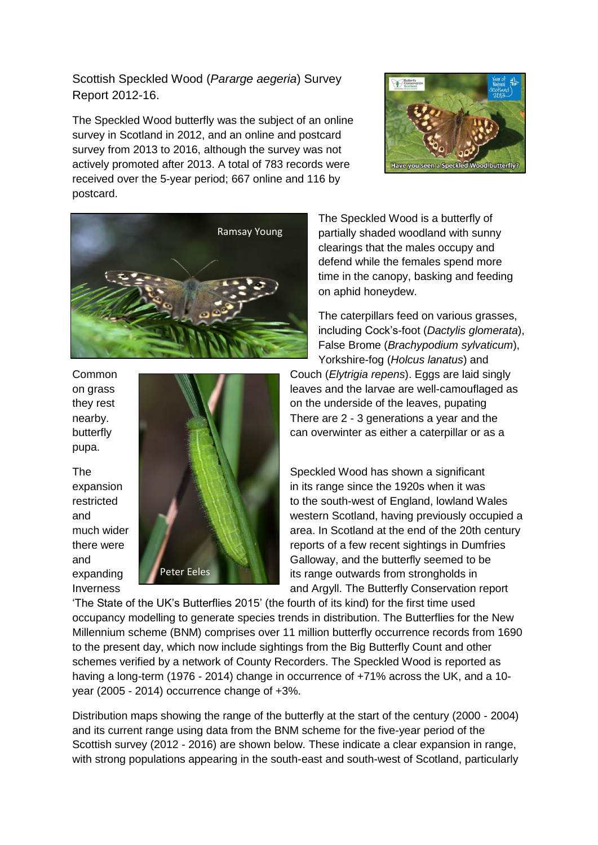Scottish Speckled Wood (*Pararge aegeria*) Survey Report 2012-16.

The Speckled Wood butterfly was the subject of an online survey in Scotland in 2012, and an online and postcard survey from 2013 to 2016, although the survey was not actively promoted after 2013. A total of 783 records were received over the 5-year period; 667 online and 116 by postcard.





pupa.



The Speckled Wood is a butterfly of partially shaded woodland with sunny clearings that the males occupy and defend while the females spend more time in the canopy, basking and feeding on aphid honeydew.

The caterpillars feed on various grasses, including Cock's-foot (*Dactylis glomerata*), False Brome (*Brachypodium sylvaticum*), Yorkshire-fog (*Holcus lanatus*) and

Common Couch (*Elytrigia repens*). Eggs are laid singly on grass **leaves** and the larvae are well-camouflaged as they rest **they rest on the underside of the leaves**, pupating nearby. There are 2 - 3 generations a year and the butterfly **can overwinter as either a caterpillar or as a** 

The Speckled Wood has shown a significant expansion **in its range since the 1920s when it was** in its range since the 1920s when it was restricted **to the south-west of England, lowland Wales** and western Scotland, having previously occupied a much wider **and area.** In Scotland at the end of the 20th century there were **reports** of a few recent sightings in Dumfries and Galloway, and the butterfly seemed to be expanding **in Peter Eeles** its range outwards from strongholds in Inverness and Argyll. The Butterfly Conservation report

'The State of the UK's Butterflies 2015' (the fourth of its kind) for the first time used occupancy modelling to generate species trends in distribution. The Butterflies for the New Millennium scheme (BNM) comprises over 11 million butterfly occurrence records from 1690 to the present day, which now include sightings from the Big Butterfly Count and other schemes verified by a network of County Recorders. The Speckled Wood is reported as having a long-term (1976 - 2014) change in occurrence of +71% across the UK, and a 10year (2005 - 2014) occurrence change of +3%.

Distribution maps showing the range of the butterfly at the start of the century (2000 - 2004) and its current range using data from the BNM scheme for the five-year period of the Scottish survey (2012 - 2016) are shown below. These indicate a clear expansion in range, with strong populations appearing in the south-east and south-west of Scotland, particularly